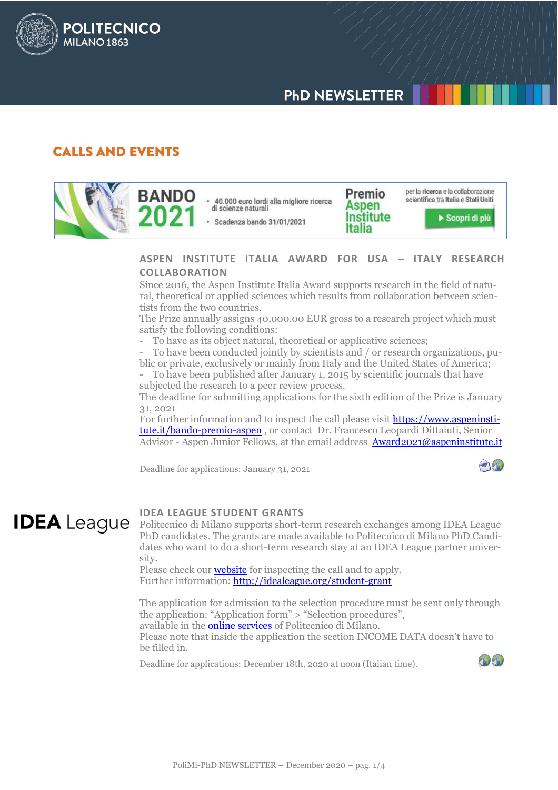

## **CALLS AND EVENTS**

**POLITECNICO** 

**MILANO 1863** 

per la ricerca e la collaborazione Premio **BANDO** scientifica tra Italia e Stati Uniti 40.000 euro lordi alla migliore ricerca Aspen di scienze naturali Institute Scopri di più · Scadenza bando 31/01/2021 Italia

#### **ASPEN INSTITUTE ITALIA AWARD FOR USA – ITALY RESEARCH COLLABORATION**

Since 2016, the Aspen Institute Italia Award supports research in the field of natural, theoretical or applied sciences which results from collaboration between scientists from the two countries.

The Prize annually assigns 40,000.00 EUR gross to a research project which must satisfy the following conditions:

To have as its object natural, theoretical or applicative sciences;

- To have been conducted jointly by scientists and / or research organizations, public or private, exclusively or mainly from Italy and the United States of America;

To have been published after January 1, 2015 by scientific journals that have subjected the research to a peer review process.

The deadline for submitting applications for the sixth edition of the Prize is January 31, 2021

For further information and to inspect the call please visit **https://www.aspeninsti**[tute.it/bando-premio-aspen](https://www.aspeninstitute.it/bando-premio-aspen), or contact Dr. Francesco Leopardi Dittaiuti, Senior Advisor - Aspen Junior Fellows, at the email address [Award2021@aspeninstitute.it](mailto:Award2021@aspeninstitute.it)

Deadline for applications: January 31, 2021

# **IDEA** League

#### **IDEA LEAGUE STUDENT GRANTS**

Politecnico di Milano supports short-term research exchanges among IDEA League PhD candidates. The grants are made available to Politecnico di Milano PhD Candidates who want to do a short-term research stay at an IDEA League partner university.

Please check our **[website](http://www.dottorato.polimi.it/en/news-and-deadlines/news/article/23/idea-league-student-grants-587/)** for inspecting the call and to apply. Further information: http://idealeague.org/student-grant

The application for admission to the selection procedure must be sent only through the application: "Application form" > "Selection procedures", available in th[e online services](https://www.polimi.it/en/online-services/) of Politecnico di Milano. Please note that inside the application the section INCOME DATA doesn't have to be filled in.

Deadline for applications: December 18th, 2020 at noon (Italian time).

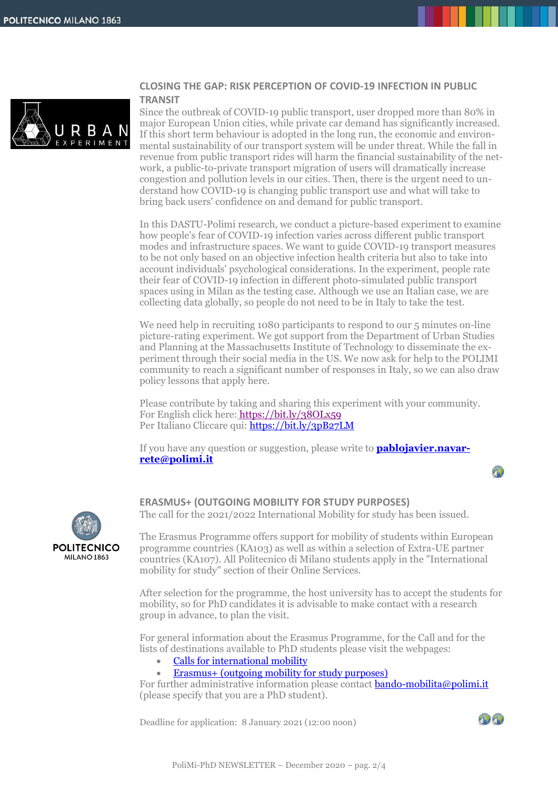

#### **CLOSING THE GAP: RISK PERCEPTION OF COVID-19 INFECTION IN PUBLIC TRANSIT**

Since the outbreak of COVID-19 public transport, user dropped more than 80% in major European Union cities, while private car demand has significantly increased. If this short term behaviour is adopted in the long run, the economic and environmental sustainability of our transport system will be under threat. While the fall in revenue from public transport rides will harm the financial sustainability of the network, a public-to-private transport migration of users will dramatically increase congestion and pollution levels in our cities. Then, there is the urgent need to understand how COVID-19 is changing public transport use and what will take to bring back users' confidence on and demand for public transport.

In this DASTU-Polimi research, we conduct a picture-based experiment to examine how people's fear of COVID-19 infection varies across different public transport modes and infrastructure spaces. We want to guide COVID-19 transport measures to be not only based on an objective infection health criteria but also to take into account individuals' psychological considerations. In the experiment, people rate their fear of COVID-19 infection in different photo-simulated public transport spaces using in Milan as the testing case. Although we use an Italian case, we are collecting data globally, so people do not need to be in Italy to take the test.

We need help in recruiting 1080 participants to respond to our 5 minutes on-line picture-rating experiment. We got support from the Department of Urban Studies and Planning at the Massachusetts Institute of Technology to disseminate the experiment through their social media in the US. We now ask for help to the POLIMI community to reach a significant number of responses in Italy, so we can also draw policy lessons that apply here.

Please contribute by taking and sharing this experiment with your community. For English click here: <https://bit.ly/38OLx59> Per Italiano Cliccare qui:<https://bit.ly/3pB27LM>

If you have any question or suggestion, please write to **[pablojavier.navar](mailto:pablojavier.navarrete@polimi.it)[rete@polimi.it](mailto:pablojavier.navarrete@polimi.it)**





**ERASMUS+ (OUTGOING MOBILITY FOR STUDY PURPOSES)**

The call for the 2021/2022 International Mobility for study has been issued.

The Erasmus Programme offers support for mobility of students within European programme countries (KA103) as well as within a selection of Extra-UE partner countries (KA107). All Politecnico di Milano students apply in the "International mobility for study" section of their Online Services.

After selection for the programme, the host university has to accept the students for mobility, so for PhD candidates it is advisable to make contact with a research group in advance, to plan the visit.

For general information about the Erasmus Programme, for the Call and for the lists of destinations available to PhD students please visit the webpages:

- [Calls for international](https://www.polimi.it/en/services-and-opportunities/experience-abroad/study-mobility/call/) mobility
- [Erasmus+ \(outgoing mobility for study purposes\)](http://www.dottorato.polimi.it/en/during-your-phd/periods-abroad-and-stages/international-mobility-programs-outgoing/erasmus-outgoing-mobility-for-study-purposes/)

For further administrative information please contact **bando-mobilita@polimi.it** (please specify that you are a PhD student).

Deadline for application: 8 January 2021 (12:00 noon)

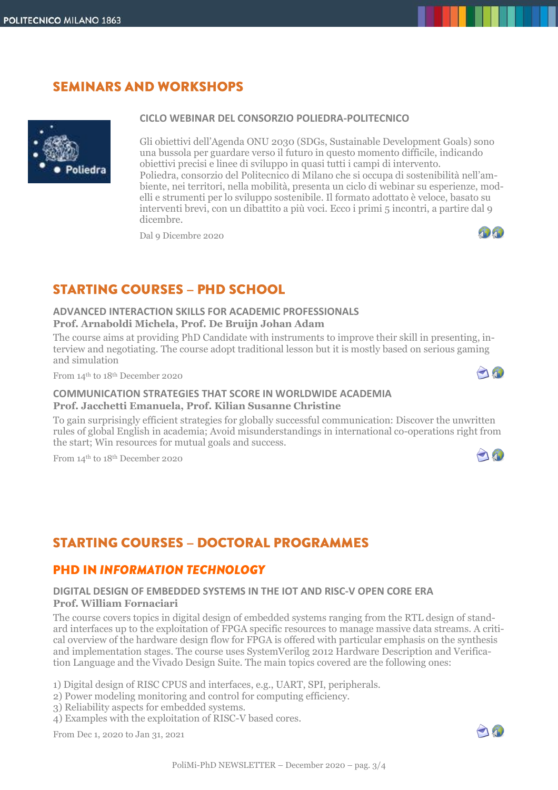# **SEMINARS AND WORKSHOPS**



#### **CICLO WEBINAR DEL CONSORZIO POLIEDRA-POLITECNICO**

Gli obiettivi dell'Agenda ONU 2030 (SDGs, Sustainable Development Goals) sono una bussola per guardare verso il futuro in questo momento difficile, indicando obiettivi precisi e linee di sviluppo in quasi tutti i campi di intervento. Poliedra, consorzio del Politecnico di Milano che si occupa di sostenibilità nell'ambiente, nei territori, nella mobilità, presenta un ciclo di webinar su esperienze, modelli e strumenti per lo sviluppo sostenibile. Il formato adottato è veloce, basato su interventi brevi, con un dibattito a più voci. Ecco i primi 5 incontri, a partire dal 9 dicembre.

Dal 9 Dicembre 2020



# **STARTING COURSES - PHD SCHOOL**

#### **ADVANCED INTERACTION SKILLS FOR ACADEMIC PROFESSIONALS Prof. Arnaboldi Michela, Prof. De Bruijn Johan Adam**

The course aims at providing PhD Candidate with instruments to improve their skill in presenting, interview and negotiating. The course adopt traditional lesson but it is mostly based on serious gaming and simulation

From 14th to 18th December 2020



70

#### **COMMUNICATION STRATEGIES THAT SCORE IN WORLDWIDE ACADEMIA Prof. Jacchetti Emanuela, Prof. Kilian Susanne Christine**

To gain surprisingly efficient strategies for globally successful communication: Discover the unwritten rules of global English in academia; Avoid misunderstandings in international co-operations right from the start; Win resources for mutual goals and success.

From 14th to 18th December 2020

# **STARTING COURSES - DOCTORAL PROGRAMMES**

### **PHD IN INFORMATION TECHNOLOGY**

#### **DIGITAL DESIGN OF EMBEDDED SYSTEMS IN THE IOT AND RISC-V OPEN CORE ERA Prof. William Fornaciari**

The course covers topics in digital design of embedded systems ranging from the RTL design of standard interfaces up to the exploitation of FPGA specific resources to manage massive data streams. A critical overview of the hardware design flow for FPGA is offered with particular emphasis on the synthesis and implementation stages. The course uses SystemVerilog 2012 Hardware Description and Verification Language and the Vivado Design Suite. The main topics covered are the following ones:

1) Digital design of RISC CPUS and interfaces, e.g., UART, SPI, peripherals.

2) Power modeling monitoring and control for computing efficiency.

3) Reliability aspects for embedded systems.

4) Examples with the exploitation of RISC-V based cores.

From Dec 1, 2020 to Jan 31, 2021